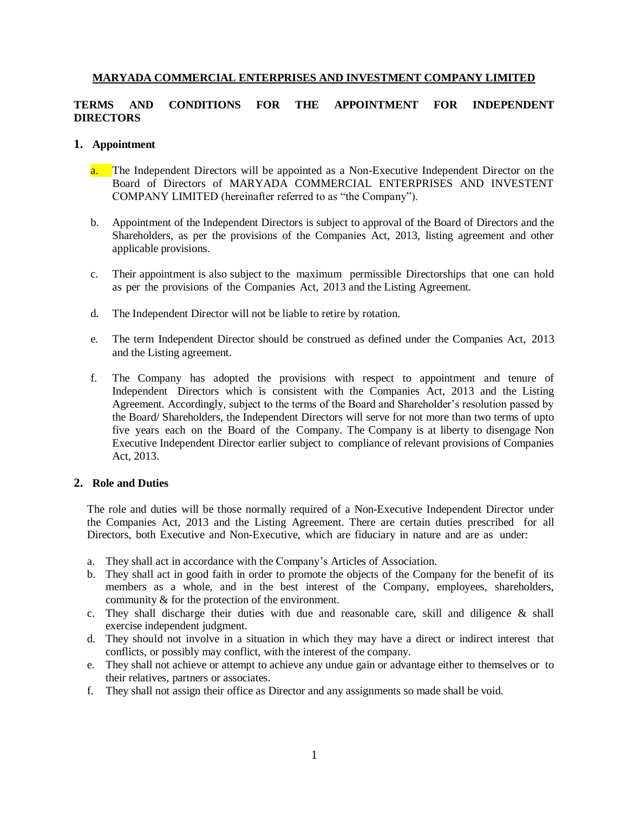### **MARYADA COMMERCIAL ENTERPRISES AND INVESTMENT COMPANY LIMITED**

# **TERMS AND CONDITIONS FOR THE APPOINTMENT FOR INDEPENDENT DIRECTORS**

#### **1. Appointment**

- a. The Independent Directors will be appointed as a Non-Executive Independent Director on the Board of Directors of MARYADA COMMERCIAL ENTERPRISES AND INVESTENT COMPANY LIMITED (hereinafter referred to as "the Company").
- b. Appointment of the Independent Directors is subject to approval of the Board of Directors and the Shareholders, as per the provisions of the Companies Act, 2013, listing agreement and other applicable provisions.
- c. Their appointment is also subject to the maximum permissible Directorships that one can hold as per the provisions of the Companies Act, 2013 and the Listing Agreement.
- d. The Independent Director will not be liable to retire by rotation.
- e. The term Independent Director should be construed as defined under the Companies Act, 2013 and the Listing agreement.
- f. The Company has adopted the provisions with respect to appointment and tenure of Independent Directors which is consistent with the Companies Act, 2013 and the Listing Agreement. Accordingly, subject to the terms of the Board and Shareholder's resolution passed by the Board/ Shareholders, the Independent Directors will serve for not more than two terms of upto five years each on the Board of the Company. The Company is at liberty to disengage Non Executive Independent Director earlier subject to compliance of relevant provisions of Companies Act, 2013.

#### **2. Role and Duties**

The role and duties will be those normally required of a Non-Executive Independent Director under the Companies Act, 2013 and the Listing Agreement. There are certain duties prescribed for all Directors, both Executive and Non-Executive, which are fiduciary in nature and are as under:

- a. They shall act in accordance with the Company's Articles of Association.
- b. They shall act in good faith in order to promote the objects of the Company for the benefit of its members as a whole, and in the best interest of the Company, employees, shareholders, community & for the protection of the environment.
- c. They shall discharge their duties with due and reasonable care, skill and diligence  $\&$  shall exercise independent judgment.
- d. They should not involve in a situation in which they may have a direct or indirect interest that conflicts, or possibly may conflict, with the interest of the company.
- e. They shall not achieve or attempt to achieve any undue gain or advantage either to themselves or to their relatives, partners or associates.
- f. They shall not assign their office as Director and any assignments so made shall be void.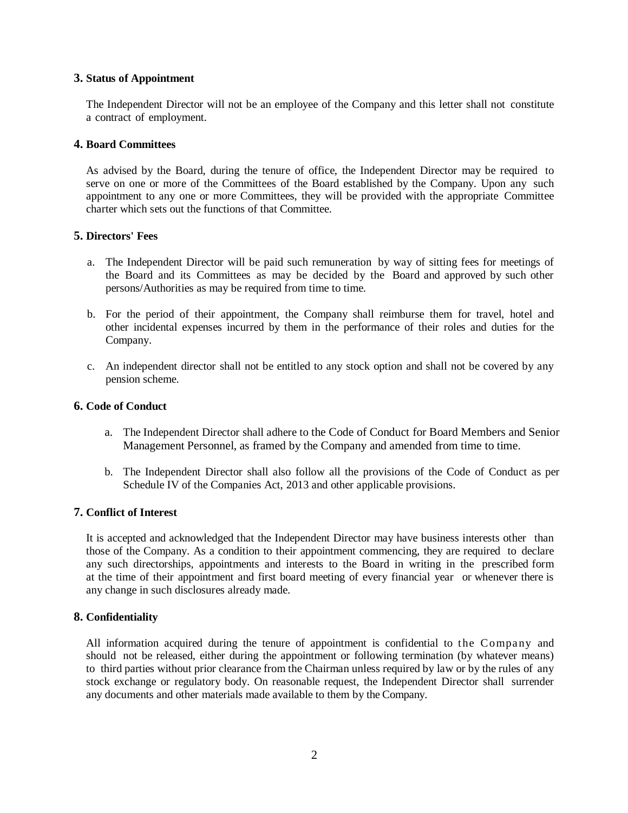### **3. Status of Appointment**

The Independent Director will not be an employee of the Company and this letter shall not constitute a contract of employment.

#### **4. Board Committees**

As advised by the Board, during the tenure of office, the Independent Director may be required to serve on one or more of the Committees of the Board established by the Company. Upon any such appointment to any one or more Committees, they will be provided with the appropriate Committee charter which sets out the functions of that Committee.

## **5. Directors' Fees**

- a. The Independent Director will be paid such remuneration by way of sitting fees for meetings of the Board and its Committees as may be decided by the Board and approved by such other persons/Authorities as may be required from time to time.
- b. For the period of their appointment, the Company shall reimburse them for travel, hotel and other incidental expenses incurred by them in the performance of their roles and duties for the Company.
- c. An independent director shall not be entitled to any stock option and shall not be covered by any pension scheme.

### **6. Code of Conduct**

- a. The Independent Director shall adhere to the Code of Conduct for Board Members and Senior Management Personnel, as framed by the Company and amended from time to time.
- b. The Independent Director shall also follow all the provisions of the Code of Conduct as per Schedule IV of the Companies Act, 2013 and other applicable provisions.

## **7. Conflict of Interest**

It is accepted and acknowledged that the Independent Director may have business interests other than those of the Company. As a condition to their appointment commencing, they are required to declare any such directorships, appointments and interests to the Board in writing in the prescribed form at the time of their appointment and first board meeting of every financial year or whenever there is any change in such disclosures already made.

#### **8. Confidentiality**

All information acquired during the tenure of appointment is confidential to the Company and should not be released, either during the appointment or following termination (by whatever means) to third parties without prior clearance from the Chairman unless required by law or by the rules of any stock exchange or regulatory body. On reasonable request, the Independent Director shall surrender any documents and other materials made available to them by the Company.